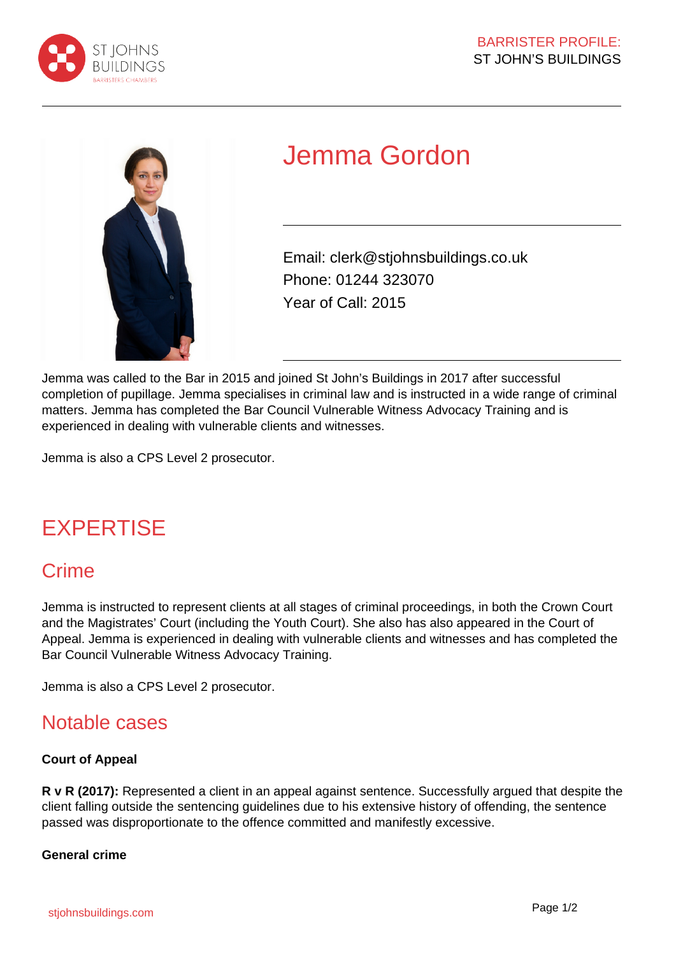



# Jemma Gordon

Email: clerk@stjohnsbuildings.co.uk Phone: 01244 323070 Year of Call: 2015

Jemma was called to the Bar in 2015 and joined St John's Buildings in 2017 after successful completion of pupillage. Jemma specialises in criminal law and is instructed in a wide range of criminal matters. Jemma has completed the Bar Council Vulnerable Witness Advocacy Training and is experienced in dealing with vulnerable clients and witnesses.

Jemma is also a CPS Level 2 prosecutor.

## EXPERTISE

## **Crime**

Jemma is instructed to represent clients at all stages of criminal proceedings, in both the Crown Court and the Magistrates' Court (including the Youth Court). She also has also appeared in the Court of Appeal. Jemma is experienced in dealing with vulnerable clients and witnesses and has completed the Bar Council Vulnerable Witness Advocacy Training.

Jemma is also a CPS Level 2 prosecutor.

### Notable cases

#### **Court of Appeal**

**R v R (2017):** Represented a client in an appeal against sentence. Successfully argued that despite the client falling outside the sentencing guidelines due to his extensive history of offending, the sentence passed was disproportionate to the offence committed and manifestly excessive.

#### **General crime**